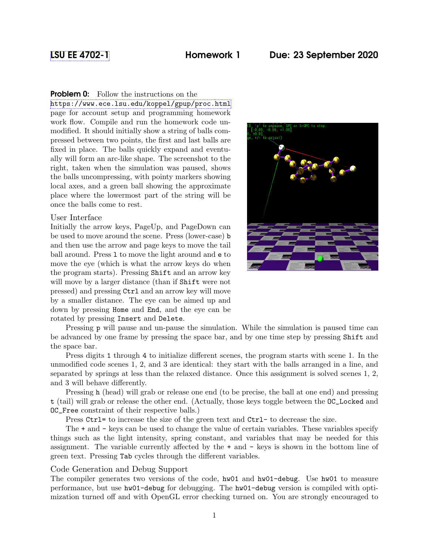## [LSU EE 4702-1](https://www.ece.lsu.edu/koppel/gpup/) Homework 1 Due: 23 September 2020

## **Problem 0:** Follow the instructions on the

<https://www.ece.lsu.edu/koppel/gpup/proc.html> page for account setup and programming homework work flow. Compile and run the homework code unmodified. It should initially show a string of balls compressed between two points, the first and last balls are fixed in place. The balls quickly expand and eventually will form an arc-like shape. The screenshot to the right, taken when the simulation was paused, shows the balls uncompressing, with pointy markers showing local axes, and a green ball showing the approximate place where the lowermost part of the string will be once the balls come to rest.

## User Interface

Initially the arrow keys, PageUp, and PageDown can be used to move around the scene. Press (lower-case) b and then use the arrow and page keys to move the tail ball around. Press l to move the light around and e to move the eye (which is what the arrow keys do when the program starts). Pressing Shift and an arrow key will move by a larger distance (than if Shift were not pressed) and pressing Ctrl and an arrow key will move by a smaller distance. The eye can be aimed up and down by pressing Home and End, and the eye can be rotated by pressing Insert and Delete.



Pressing p will pause and un-pause the simulation. While the simulation is paused time can be advanced by one frame by pressing the space bar, and by one time step by pressing Shift and the space bar.

Press digits 1 through 4 to initialize different scenes, the program starts with scene 1. In the unmodified code scenes 1, 2, and 3 are identical: they start with the balls arranged in a line, and separated by springs at less than the relaxed distance. Once this assignment is solved scenes 1, 2, and 3 will behave differently.

Pressing h (head) will grab or release one end (to be precise, the ball at one end) and pressing t (tail) will grab or release the other end. (Actually, those keys toggle between the OC\_Locked and OC\_Free constraint of their respective balls.)

Press Ctrl= to increase the size of the green text and Ctrl- to decrease the size.

The + and - keys can be used to change the value of certain variables. These variables specify things such as the light intensity, spring constant, and variables that may be needed for this assignment. The variable currently affected by the + and - keys is shown in the bottom line of green text. Pressing Tab cycles through the different variables.

## Code Generation and Debug Support

The compiler generates two versions of the code, hw01 and hw01-debug. Use hw01 to measure performance, but use hw01-debug for debugging. The hw01-debug version is compiled with optimization turned off and with OpenGL error checking turned on. You are strongly encouraged to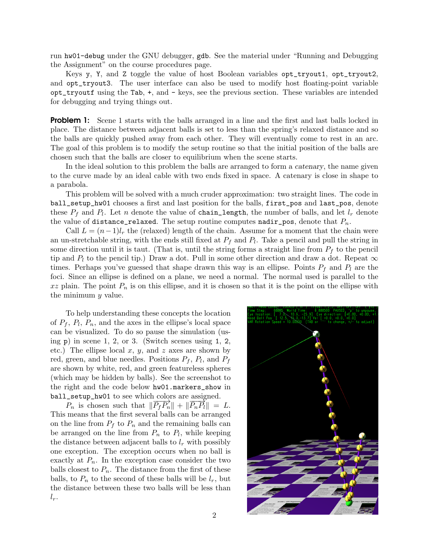run hw01-debug under the GNU debugger, gdb. See the material under "Running and Debugging the Assignment" on the course procedures page.

Keys y, Y, and Z toggle the value of host Boolean variables opt\_tryout1, opt\_tryout2, and opt\_tryout3. The user interface can also be used to modify host floating-point variable opt\_tryoutf using the Tab, +, and - keys, see the previous section. These variables are intended for debugging and trying things out.

**Problem 1:** Scene 1 starts with the balls arranged in a line and the first and last balls locked in place. The distance between adjacent balls is set to less than the spring's relaxed distance and so the balls are quickly pushed away from each other. They will eventually come to rest in an arc. The goal of this problem is to modify the setup routine so that the initial position of the balls are chosen such that the balls are closer to equilibrium when the scene starts.

In the ideal solution to this problem the balls are arranged to form a *catenary*, the name given to the curve made by an ideal cable with two ends fixed in space. A catenary is close in shape to a parabola.

This problem will be solved with a much cruder approximation: two straight lines. The code in ball\_setup\_hw01 chooses a first and last position for the balls, first\_pos and last\_pos, denote these  $P_f$  and  $P_l$ . Let n denote the value of chain\_length, the number of balls, and let  $l_r$  denote the value of distance\_relaxed. The setup routine computes nadir\_pos, denote that  $P_n$ .

Call  $L = (n-1)l_r$  the (relaxed) length of the chain. Assume for a moment that the chain were an un-stretchable string, with the ends still fixed at  $P_f$  and  $P_l$ . Take a pencil and pull the string in some direction until it is taut. (That is, until the string forms a straight line from  $P_f$  to the pencil tip and  $P_l$  to the pencil tip.) Draw a dot. Pull in some other direction and draw a dot. Repeat  $\infty$ times. Perhaps you've guessed that shape drawn this way is an ellipse. Points  $P_f$  and  $P_l$  are the foci. Since an ellipse is defined on a plane, we need a normal. The normal used is parallel to the  $xz$  plain. The point  $P_n$  is on this ellipse, and it is chosen so that it is the point on the ellipse with the minimum y value.

To help understanding these concepts the location of  $P_f$ ,  $P_l$ ,  $P_n$ , and the axes in the ellipse's local space can be visualized. To do so pause the simulation (using  $p)$  in scene 1, 2, or 3. (Switch scenes using 1, 2, etc.) The ellipse local  $x, y$ , and  $z$  axes are shown by red, green, and blue needles. Positions  $P_f$ ,  $P_l$ , and  $P_f$ are shown by white, red, and green featureless spheres (which may be hidden by balls). See the screenshot to the right and the code below hw01.markers\_show in ball\_setup\_hw01 to see which colors are assigned.

 $P_n$  is chosen such that  $\|\overline{P_fP_n}\| + \|\overline{P_nP_t}\| = L$ . This means that the first several balls can be arranged on the line from  $P_f$  to  $P_n$  and the remaining balls can be arranged on the line from  $P_n$  to  $P_l$ , while keeping the distance between adjacent balls to  $l_r$  with possibly one exception. The exception occurs when no ball is exactly at  $P_n$ . In the exception case consider the two balls closest to  $P_n$ . The distance from the first of these balls, to  $P_n$  to the second of these balls will be  $l_r$ , but the distance between these two balls will be less than  $l_r$ .